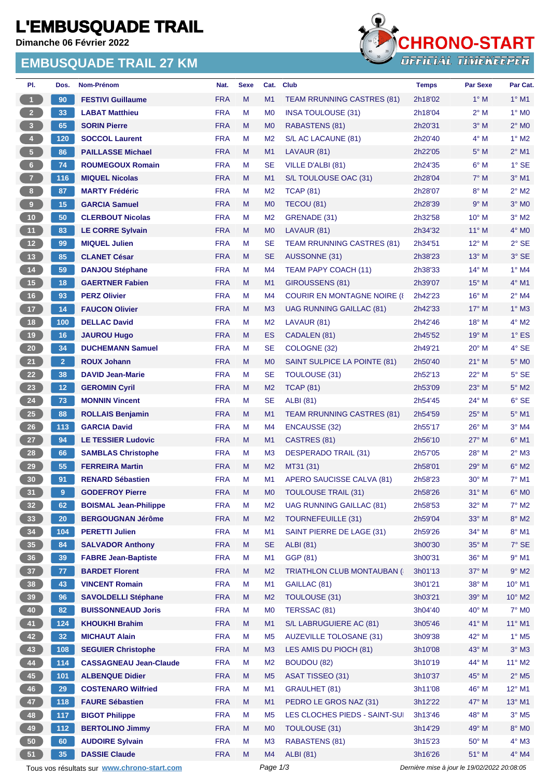# **L'EMBUSQUADE TRAIL**

**Dimanche 06 Février 2022**

### **EMBUSQUADE TRAIL 27 KM**



| PI.             | Dos.            | Nom-Prénom                                  | Nat.       | <b>Sexe</b> | Cat.           | <b>Club</b>                         | <b>Temps</b> | <b>Par Sexe</b>                             | Par Cat.                   |
|-----------------|-----------------|---------------------------------------------|------------|-------------|----------------|-------------------------------------|--------------|---------------------------------------------|----------------------------|
| $\mathbf{1}$    | 90              | <b>FESTIVI Guillaume</b>                    | <b>FRA</b> | M           | M1             | <b>TEAM RRUNNING CASTRES (81)</b>   | 2h18'02      | $1^\circ$ M                                 | $1^\circ$ M1               |
| 2 <sup>7</sup>  | 33              | <b>LABAT Matthieu</b>                       | <b>FRA</b> | М           | M <sub>0</sub> | <b>INSA TOULOUSE (31)</b>           | 2h18'04      | $2^{\circ}$ M                               | $1^\circ$ MO               |
| 3               | 65              | <b>SORIN Pierre</b>                         | <b>FRA</b> | M           | M <sub>0</sub> | RABASTENS (81)                      | 2h20'31      | $3^\circ$ M                                 | $2^{\circ}$ MO             |
| $\overline{4}$  | 120             | <b>SOCCOL Laurent</b>                       | <b>FRA</b> | М           | M <sub>2</sub> | S/L AC LACAUNE (81)                 | 2h20'40      | $4^\circ$ M                                 | $1^\circ$ M2               |
| $\sqrt{5}$      | 86              | <b>PAILLASSE Michael</b>                    | <b>FRA</b> | M           | M1             | LAVAUR (81)                         | 2h22'05      | $5^\circ$ M                                 | $2^{\circ}$ M1             |
| $6\phantom{.}6$ | 74              | <b>ROUMEGOUX Romain</b>                     | <b>FRA</b> | M           | SE             | VILLE D'ALBI (81)                   | 2h24'35      | $6^\circ$ M                                 | $1^\circ$ SE               |
| $\overline{7}$  | 116             | <b>MIQUEL Nicolas</b>                       | <b>FRA</b> | M           | M1             | S/L TOULOUSE OAC (31)               | 2h28'04      | $7^\circ$ M                                 | $3°$ M1                    |
| 8 <sub>1</sub>  | 87              | <b>MARTY Frédéric</b>                       | <b>FRA</b> | М           | M <sub>2</sub> | <b>TCAP (81)</b>                    | 2h28'07      | $8^\circ$ M                                 | $2^{\circ}$ M2             |
| 9               | 15              | <b>GARCIA Samuel</b>                        | <b>FRA</b> | M           | M <sub>0</sub> | TECOU (81)                          | 2h28'39      | 9° M                                        | $3^\circ$ MO               |
| 10              | 50              | <b>CLERBOUT Nicolas</b>                     | <b>FRA</b> | M           | M <sub>2</sub> | GRENADE (31)                        | 2h32'58      | $10^{\circ}$ M                              | $3°$ M2                    |
| 11              | 83              | <b>LE CORRE Sylvain</b>                     | <b>FRA</b> | M           | M <sub>0</sub> | LAVAUR (81)                         | 2h34'32      | $11^{\circ}$ M                              | $4^\circ$ MO               |
| 12 <sup>°</sup> | 99              | <b>MIQUEL Julien</b>                        | <b>FRA</b> | М           | <b>SE</b>      | <b>TEAM RRUNNING CASTRES (81)</b>   | 2h34'51      | $12^{\circ}$ M                              | $2^{\circ}$ SE             |
| 13              | 85              | <b>CLANET César</b>                         | <b>FRA</b> | M           | <b>SE</b>      | AUSSONNE (31)                       | 2h38'23      | $13^{\circ}$ M                              | 3° SE                      |
| $14$            | 59              | <b>DANJOU Stéphane</b>                      | <b>FRA</b> | М           | M4             | <b>TEAM PAPY COACH (11)</b>         | 2h38'33      | $14^{\circ}$ M                              | $1^\circ$ M4               |
| 15              | 18              | <b>GAERTNER Fabien</b>                      | <b>FRA</b> | M           | M1             | GIROUSSENS (81)                     | 2h39'07      | $15^{\circ}$ M                              | $4^\circ$ M1               |
| 16              | 93              | <b>PERZ Olivier</b>                         | <b>FRA</b> | М           | M4             | <b>COURIR EN MONTAGNE NOIRE (8)</b> | 2h42'23      | $16^{\circ}$ M                              | $2^{\circ}$ M4             |
| 17 <sub>2</sub> | 14              | <b>FAUCON Olivier</b>                       | <b>FRA</b> | M           | M <sub>3</sub> | UAG RUNNING GAILLAC (81)            | 2h42'33      | 17° M                                       | $1^\circ$ M3               |
| 18              | 100             | <b>DELLAC David</b>                         | <b>FRA</b> | М           | M <sub>2</sub> | LAVAUR (81)                         | 2h42'46      | $18^{\circ}$ M                              | $4^\circ$ M2               |
| 19              | 16              | <b>JAUROU Hugo</b>                          | <b>FRA</b> | M           | <b>ES</b>      | CADALEN (81)                        | 2h45'52      | 19° M                                       | $1^\circ$ ES               |
| $20\phantom{a}$ | 34              | <b>DUCHEMANN Samuel</b>                     | <b>FRA</b> | М           | <b>SE</b>      | COLOGNE (32)                        | 2h49'21      | $20^\circ$ M                                | $4°$ SE                    |
| 21              | $\overline{2}$  | <b>ROUX Johann</b>                          | <b>FRA</b> | M           | M <sub>0</sub> | SAINT SULPICE LA POINTE (81)        | 2h50'40      | $21^{\circ}$ M                              | 5° MO                      |
|                 |                 |                                             | <b>FRA</b> |             |                |                                     |              |                                             |                            |
| 22              | 38              | <b>DAVID Jean-Marie</b>                     |            | М           | <b>SE</b>      | <b>TOULOUSE (31)</b>                | 2h52'13      | $22^{\circ}$ M                              | $5^\circ$ SE               |
| 23              | 12              | <b>GEROMIN Cyril</b>                        | <b>FRA</b> | M           | M <sub>2</sub> | <b>TCAP (81)</b>                    | 2h53'09      | $23^\circ$ M                                | $5^\circ$ M2               |
| 24              | 73              | <b>MONNIN Vincent</b>                       | <b>FRA</b> | М           | <b>SE</b>      | <b>ALBI</b> (81)                    | 2h54'45      | 24° M                                       | 6° SE                      |
| 25              | 88              | <b>ROLLAIS Benjamin</b>                     | <b>FRA</b> | M           | M1             | <b>TEAM RRUNNING CASTRES (81)</b>   | 2h54'59      | $25^{\circ}$ M                              | $5^\circ$ M1               |
| 26              | 113             | <b>GARCIA David</b>                         | <b>FRA</b> | М           | M4             | ENCAUSSE (32)                       | 2h55'17      | $26^{\circ}$ M                              | $3°$ M4                    |
| 27              | 94              | <b>LE TESSIER Ludovic</b>                   | <b>FRA</b> | M           | M1             | CASTRES (81)                        | 2h56'10      | $27^\circ$ M                                | $6^{\circ}$ M1             |
| 28              | 66              | <b>SAMBLAS Christophe</b>                   | <b>FRA</b> | м           | M <sub>3</sub> | <b>DESPERADO TRAIL (31)</b>         | 2h57'05      | 28° M                                       | $2^{\circ}$ M3             |
| 29              | 55              | <b>FERREIRA Martin</b>                      | <b>FRA</b> | M           | M <sub>2</sub> | MT31 (31)                           | 2h58'01      | $29^\circ$ M                                | $6^\circ$ M2               |
| 30              | 91              | <b>RENARD Sébastien</b>                     | <b>FRA</b> | М           | M <sub>1</sub> | APERO SAUCISSE CALVA (81)           | 2h58'23      | 30° M                                       | <b>7° M1</b>               |
| 31              | 9               | <b>GODEFROY Pierre</b>                      | <b>FRA</b> | M           | M <sub>0</sub> | TOULOUSE TRAIL (31)                 | 2h58'26      | 31° M                                       | $6^\circ$ MO               |
| 32 <sub>2</sub> | 62              | <b>BOISMAL Jean-Philippe</b>                | <b>FRA</b> | М           | M <sub>2</sub> | <b>UAG RUNNING GAILLAC (81)</b>     | 2h58'53      | 32° M                                       | $7^\circ$ M2               |
| 33              | 20              | <b>BERGOUGNAN Jérôme</b>                    | <b>FRA</b> | M           | M <sub>2</sub> | <b>TOURNEFEUILLE (31)</b>           | 2h59'04      | 33° M                                       | $8^\circ$ M2               |
| 34              | 104             | <b>PERETTI Julien</b>                       | <b>FRA</b> | M           | M1             | SAINT PIERRE DE LAGE (31)           | 2h59'26      | 34° M                                       | $8^\circ$ M1               |
| 35 <sub>1</sub> | 84              | <b>SALVADOR Anthony</b>                     | <b>FRA</b> | M           | <b>SE</b>      | <b>ALBI</b> (81)                    | 3h00'30      | 35° M                                       | 7° SE                      |
| 36              | 39              | <b>FABRE Jean-Baptiste</b>                  | <b>FRA</b> | М           | M1             | GGP (81)                            | 3h00'31      | 36° M                                       | $9°$ M1                    |
| 37 <sup>°</sup> | 77              | <b>BARDET Florent</b>                       | <b>FRA</b> | M           | M <sub>2</sub> | TRIATHLON CLUB MONTAUBAN (          | 3h01'13      | 37° M                                       | $9^\circ$ M2               |
| 38              | 43              | <b>VINCENT Romain</b>                       | <b>FRA</b> | M           | M1             | GAILLAC (81)                        | 3h01'21      | 38° M                                       | $10^{\circ}$ M1            |
| 39              | 96              | <b>SAVOLDELLI Stéphane</b>                  | <b>FRA</b> | M           | M <sub>2</sub> | <b>TOULOUSE (31)</b>                | 3h03'21      | 39° M                                       | $10^{\circ}$ M2            |
| 40              | 82              | <b>BUISSONNEAUD Joris</b>                   | <b>FRA</b> | М           | M <sub>0</sub> | TERSSAC (81)                        | 3h04'40      | $40^{\circ}$ M                              | $7^\circ$ MO               |
| 41              | 124             | <b>KHOUKHI Brahim</b>                       | <b>FRA</b> | M           | M1             | S/L LABRUGUIERE AC (81)             | 3h05'46      | 41° M                                       | $11^{\circ}$ M1            |
| 42              | 32 <sub>2</sub> | <b>MICHAUT Alain</b>                        | <b>FRA</b> | M           | M <sub>5</sub> | <b>AUZEVILLE TOLOSANE (31)</b>      | 3h09'38      | 42° M                                       | $1^\circ$ M <sub>5</sub>   |
| 43              | 108             | <b>SEGUIER Christophe</b>                   | <b>FRA</b> | M           | M <sub>3</sub> | LES AMIS DU PIOCH (81)              | 3h10'08      | 43° M                                       | $3^\circ$ M3               |
| 44              | 114             | <b>CASSAGNEAU Jean-Claude</b>               | <b>FRA</b> | M           | M <sub>2</sub> | BOUDOU (82)                         | 3h10'19      | 44° M                                       | $11^{\circ}$ M2            |
| 45              | 101             | <b>ALBENQUE Didier</b>                      | <b>FRA</b> | M           | M <sub>5</sub> | <b>ASAT TISSEO (31)</b>             | 3h10'37      | 45° M                                       | $2^{\circ}$ M <sub>5</sub> |
| 46              | 29              | <b>COSTENARO Wilfried</b>                   | <b>FRA</b> | M           | M1             | <b>GRAULHET (81)</b>                | 3h11'08      | 46° M                                       | 12° M1                     |
| 47              | 118             | <b>FAURE Sébastien</b>                      | <b>FRA</b> | M           | M1             | PEDRO LE GROS NAZ (31)              | 3h12'22      | 47° M                                       | $13^{\circ}$ M1            |
| 48              | 117             | <b>BIGOT Philippe</b>                       | <b>FRA</b> | М           | M <sub>5</sub> | LES CLOCHES PIEDS - SAINT-SUI       | 3h13'46      | 48° M                                       | $3^\circ$ M5               |
| 49              | $112$           | <b>BERTOLINO Jimmy</b>                      | <b>FRA</b> | M           | M <sub>0</sub> | TOULOUSE (31)                       | 3h14'29      | 49° M                                       | 8° MO                      |
| 50              | 60              | <b>AUDOIRE Sylvain</b>                      | <b>FRA</b> | М           | M <sub>3</sub> | RABASTENS (81)                      | 3h15'23      | 50° M                                       | $4^\circ$ M3               |
| 51              | 35              | <b>DASSIE Claude</b>                        | <b>FRA</b> | M           | M4             | <b>ALBI</b> (81)                    | 3h16'26      | 51° M                                       | $4^\circ$ M4               |
|                 |                 | Tous vos résultats sur www.chrono-start.com |            |             | Page 1/3       |                                     |              | Dernière mise à jour le 19/02/2022 20:08:05 |                            |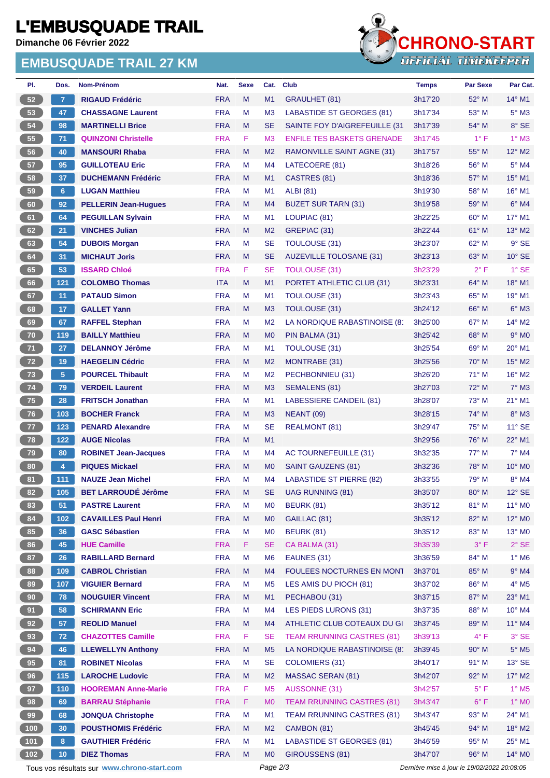# **L'EMBUSQUADE TRAIL**

**Dimanche 06 Février 2022**

### **EMBUSQUADE TRAIL 27 KM**



| PI.             | Dos.            | Nom-Prénom                                  | Nat.       | <b>Sexe</b> | Cat.           | <b>Club</b>                       | <b>Temps</b>                                | <b>Par Sexe</b> | Par Cat.                 |
|-----------------|-----------------|---------------------------------------------|------------|-------------|----------------|-----------------------------------|---------------------------------------------|-----------------|--------------------------|
| 52              | $\overline{7}$  | <b>RIGAUD Frédéric</b>                      | <b>FRA</b> | M           | M1             | <b>GRAULHET (81)</b>              | 3h17'20                                     | 52° M           | $14^{\circ}$ M1          |
| 53              | 47              | <b>CHASSAGNE Laurent</b>                    | <b>FRA</b> | М           | M <sub>3</sub> | <b>LABASTIDE ST GEORGES (81)</b>  | 3h17'34                                     | $53^\circ$ M    | $5^\circ$ M3             |
| 54              | 98              | <b>MARTINELLI Brice</b>                     | <b>FRA</b> | M           | <b>SE</b>      | SAINTE FOY D'AIGREFEUILLE (31     | 3h17'39                                     | $54^{\circ}$ M  | 8° SE                    |
| 55              | 71              | <b>QUINZONI Christelle</b>                  | <b>FRA</b> | F.          | M <sub>3</sub> | <b>ENFILE TES BASKETS GRENADE</b> | 3h17'45                                     | $1^{\circ}$ F   | $1^\circ$ M3             |
| 56              | 40              | <b>MANSOURI Rhaba</b>                       | <b>FRA</b> | M           | M <sub>2</sub> | RAMONVILLE SAINT AGNE (31)        | 3h17'57                                     | 55° M           | 12° M2                   |
| 57              | 95              | <b>GUILLOTEAU Eric</b>                      | <b>FRA</b> | М           | M4             | LATECOERE (81)                    | 3h18'26                                     | 56° M           | $5^\circ$ M4             |
| 58              | 37              | <b>DUCHEMANN Frédéric</b>                   | <b>FRA</b> | M           | M1             | CASTRES (81)                      | 3h18'36                                     | 57° M           | $15^{\circ}$ M1          |
| 59              | 6 <sup>°</sup>  | <b>LUGAN Matthieu</b>                       | <b>FRA</b> | м           | M1             | <b>ALBI</b> (81)                  | 3h19'30                                     | $58^{\circ}$ M  | $16^{\circ}$ M1          |
| 60              | 92              | <b>PELLERIN Jean-Hugues</b>                 | <b>FRA</b> | M           | M4             | <b>BUZET SUR TARN (31)</b>        | 3h19'58                                     | $59^\circ$ M    | $6°$ M4                  |
| 61              | 64              | <b>PEGUILLAN Sylvain</b>                    | <b>FRA</b> | M           | M1             | LOUPIAC (81)                      | 3h22'25                                     | $60^{\circ}$ M  | 17° M1                   |
| 62              | 21              | <b>VINCHES Julian</b>                       | <b>FRA</b> | M           | M <sub>2</sub> | GREPIAC (31)                      | 3h22'44                                     | $61^\circ$ M    | $13^\circ$ M2            |
| 63              | 54              | <b>DUBOIS Morgan</b>                        | <b>FRA</b> | M           | <b>SE</b>      | TOULOUSE (31)                     | 3h23'07                                     | 62° M           | $9°$ SE                  |
| 64              | 31              | <b>MICHAUT Joris</b>                        | <b>FRA</b> | M           | <b>SE</b>      | <b>AUZEVILLE TOLOSANE (31)</b>    | 3h23'13                                     | $63^\circ$ M    | $10^{\circ}$ SE          |
| 65              | 53              | <b>ISSARD Chloé</b>                         | <b>FRA</b> | F.          | <b>SE</b>      | <b>TOULOUSE (31)</b>              | 3h23'29                                     | $2^{\circ}$ F   | $1^\circ$ SE             |
| 66              | 121             | <b>COLOMBO Thomas</b>                       | <b>ITA</b> | M           | M1             | PORTET ATHLETIC CLUB (31)         | 3h23'31                                     | 64° M           | 18° M1                   |
| 67              | 11              | <b>PATAUD Simon</b>                         | <b>FRA</b> | м           | M <sub>1</sub> | <b>TOULOUSE (31)</b>              | 3h23'43                                     | 65° M           | 19° M1                   |
| 68              | 17              | <b>GALLET Yann</b>                          | <b>FRA</b> | M           | M <sub>3</sub> | TOULOUSE (31)                     | 3h24'12                                     | $66^{\circ}$ M  | $6^\circ$ M3             |
| 69              | 67              | <b>RAFFEL Stephan</b>                       | <b>FRA</b> | М           | M <sub>2</sub> | LA NORDIQUE RABASTINOISE (81      | 3h25'00                                     | $67^\circ$ M    | $14^{\circ}$ M2          |
| 70              | 119             | <b>BAILLY Matthieu</b>                      | <b>FRA</b> | M           | M <sub>0</sub> | PIN BALMA (31)                    | 3h25'42                                     | $68^\circ$ M    | $9°$ M <sub>0</sub>      |
| 71              | 27              | <b>DELANNOY Jérôme</b>                      | <b>FRA</b> | М           | M <sub>1</sub> | TOULOUSE (31)                     | 3h25'54                                     | $69^{\circ}$ M  | $20^\circ$ M1            |
| 72              | 19              | <b>HAEGELIN Cédric</b>                      | <b>FRA</b> | M           | M <sub>2</sub> | MONTRABE (31)                     | 3h25'56                                     | $70^\circ$ M    | 15° M2                   |
| 73              | 5 <sub>5</sub>  | <b>POURCEL Thibault</b>                     | <b>FRA</b> | м           | M <sub>2</sub> | PECHBONNIEU (31)                  | 3h26'20                                     | $71^\circ$ M    | $16^{\circ}$ M2          |
| 74              | 79              | <b>VERDEIL Laurent</b>                      | <b>FRA</b> | M           | M3             | SEMALENS (81)                     | 3h27'03                                     | 72° M           | $7^\circ$ M3             |
| 75              | 28              | <b>FRITSCH Jonathan</b>                     | <b>FRA</b> | М           | M1             | <b>LABESSIERE CANDEIL (81)</b>    | 3h28'07                                     | $73^\circ$ M    | $21^{\circ}$ M1          |
| 76              | 103             | <b>BOCHER Franck</b>                        | <b>FRA</b> | M           | M <sub>3</sub> | <b>NEANT (09)</b>                 | 3h28'15                                     | $74^\circ$ M    | $8^\circ$ M3             |
| 77              | 123             | <b>PENARD Alexandre</b>                     | <b>FRA</b> | М           | <b>SE</b>      | REALMONT (81)                     | 3h29'47                                     | $75^{\circ}$ M  | $11^{\circ}$ SE          |
| 78              | $122$           | <b>AUGE Nicolas</b>                         | <b>FRA</b> | M           | M1             |                                   | 3h29'56                                     | $76^{\circ}$ M  | 22° M1                   |
| 79              | 80              | <b>ROBINET Jean-Jacques</b>                 | <b>FRA</b> | М           | M4             | AC TOURNEFEUILLE (31)             | 3h32'35                                     | 77° M           | $7^\circ$ M4             |
| 80              | $\overline{4}$  | <b>PIQUES Mickael</b>                       | <b>FRA</b> | M           | M <sub>0</sub> | SAINT GAUZENS (81)                | 3h32'36                                     | $78^\circ$ M    | $10^{\circ}$ MO          |
| 81              | 111             | <b>NAUZE Jean Michel</b>                    | <b>FRA</b> | M           | M4             | <b>LABASTIDE ST PIERRE (82)</b>   | 3h33'55                                     | $79^\circ$ M    | $8^\circ$ M4             |
| 82)             | 105             | <b>BET LARROUDÉ Jérôme</b>                  | <b>FRA</b> | M           | <b>SE</b>      | UAG RUNNING (81)                  | 3h35'07                                     | $80^\circ$ M    | $12^{\circ}$ SE          |
| 83              | 51              | <b>PASTRE Laurent</b>                       | <b>FRA</b> | М           | M0             | BEURK (81)                        | 3h35'12                                     | 81° M           | $11^{\circ}$ MO          |
| 84              | 102             | <b>CAVAILLES Paul Henri</b>                 | <b>FRA</b> | M           | M <sub>0</sub> | GAILLAC (81)                      | 3h35'12                                     | 82° M           | $12^{\circ}$ MO          |
| 85              | 36              | <b>GASC Sébastien</b>                       | <b>FRA</b> | M           | M <sub>0</sub> | <b>BEURK (81)</b>                 | 3h35'12                                     | 83° M           | 13° MO                   |
| 86              | 45              | <b>HUE Camille</b>                          | <b>FRA</b> | F.          | <b>SE</b>      | CA BALMA (31)                     | 3h35'39                                     | $3^{\circ}$ F   | $2°$ SE                  |
| 87              | 26              | <b>RABILLARD Bernard</b>                    | <b>FRA</b> | M           | M <sub>6</sub> | EAUNES (31)                       | 3h36'59                                     | 84° M           | $1^\circ$ M6             |
| 88              | 109             | <b>CABROL Christian</b>                     | <b>FRA</b> | M           | M4             | FOULEES NOCTURNES EN MONT         | 3h37'01                                     | 85° M           | $9°$ M4                  |
| 89              | 107             | <b>VIGUIER Bernard</b>                      | <b>FRA</b> | M           | M <sub>5</sub> | LES AMIS DU PIOCH (81)            | 3h37'02                                     | 86° M           | $4^\circ$ M5             |
| 90 <sub>o</sub> | 78              | <b>NOUGUIER Vincent</b>                     | <b>FRA</b> | M           | M1             | PECHABOU (31)                     | 3h37'15                                     | 87° M           | 23° M1                   |
| 91              | 58              | <b>SCHIRMANN Eric</b>                       | <b>FRA</b> | М           | M4             | LES PIEDS LURONS (31)             | 3h37'35                                     | 88° M           | 10° M4                   |
| 92              | 57              | <b>REOLID Manuel</b>                        | <b>FRA</b> | M           | M4             | ATHLETIC CLUB COTEAUX DU GI       | 3h37'45                                     | 89° M           | $11^{\circ}$ M4          |
| 93              | 72 <sub>2</sub> | <b>CHAZOTTES Camille</b>                    | <b>FRA</b> | F.          | <b>SE</b>      | <b>TEAM RRUNNING CASTRES (81)</b> | 3h39'13                                     | $4^{\circ}$ F   | $3°$ SE                  |
| 94              | 46              | <b>LLEWELLYN Anthony</b>                    | <b>FRA</b> | M           | M <sub>5</sub> | LA NORDIQUE RABASTINOISE (8'      | 3h39'45                                     | $90^\circ$ M    | $5^\circ$ M5             |
| 95              | 81              | <b>ROBINET Nicolas</b>                      | <b>FRA</b> | М           | <b>SE</b>      | <b>COLOMIERS (31)</b>             | 3h40'17                                     | $91^\circ$ M    | $13^\circ$ SE            |
| 96              | 115             | <b>LAROCHE Ludovic</b>                      | <b>FRA</b> | M           | M <sub>2</sub> | <b>MASSAC SERAN (81)</b>          | 3h42'07                                     | 92° M           | 17° M2                   |
| 97              | 110             | <b>HOOREMAN Anne-Marie</b>                  | <b>FRA</b> | F.          | M <sub>5</sub> | AUSSONNE (31)                     | 3h42'57                                     | $5^{\circ}$ F   | $1^\circ$ M <sub>5</sub> |
| 98              | 69              | <b>BARRAU Stéphanie</b>                     | <b>FRA</b> | F           | M <sub>0</sub> | <b>TEAM RRUNNING CASTRES (81)</b> | 3h43'47                                     | $6^{\circ}$ F   | $1^\circ$ MO             |
| 99              | 68              | <b>JONQUA Christophe</b>                    | <b>FRA</b> | M           | M1             | <b>TEAM RRUNNING CASTRES (81)</b> | 3h43'47                                     | $93^\circ$ M    | 24° M1                   |
| $100$           | 30              | <b>POUSTHOMIS Frédéric</b>                  | <b>FRA</b> | M           | M <sub>2</sub> | CAMBON (81)                       | 3h45'45                                     | 94° M           | $18^{\circ}$ M2          |
| $101$           | 8 <sup>2</sup>  | <b>GAUTHIER Frédéric</b>                    | <b>FRA</b> | M           | M1             | <b>LABASTIDE ST GEORGES (81)</b>  | 3h46'59                                     | 95° M           | 25° M1                   |
| $102$           | 10              | <b>DIEZ Thomas</b>                          | <b>FRA</b> | M           | M <sub>0</sub> | GIROUSSENS (81)                   | 3h47'07                                     | $96^\circ$ M    | 14° MO                   |
|                 |                 | Tous vos résultats sur www.chrono-start.com |            |             | Page 2/3       |                                   | Dernière mise à jour le 19/02/2022 20:08:05 |                 |                          |